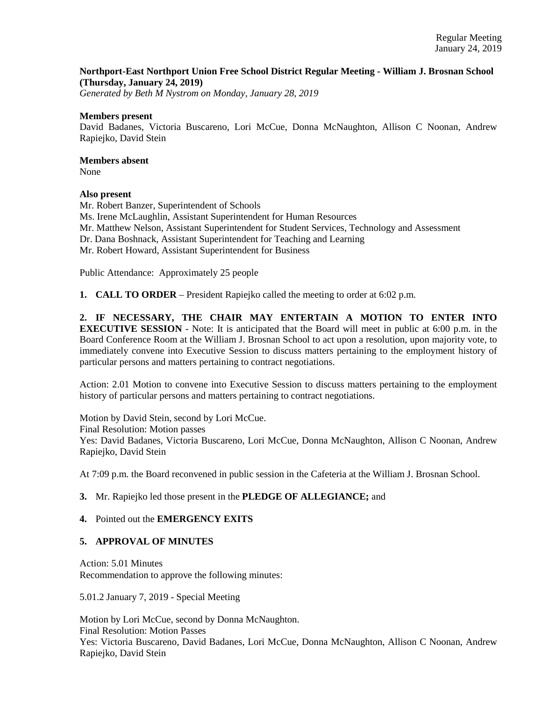## **Northport-East Northport Union Free School District Regular Meeting - William J. Brosnan School (Thursday, January 24, 2019)**

*Generated by Beth M Nystrom on Monday, January 28, 2019*

#### **Members present**

David Badanes, Victoria Buscareno, Lori McCue, Donna McNaughton, Allison C Noonan, Andrew Rapiejko, David Stein

## **Members absent**

None

## **Also present**

Mr. Robert Banzer, Superintendent of Schools Ms. Irene McLaughlin, Assistant Superintendent for Human Resources Mr. Matthew Nelson, Assistant Superintendent for Student Services, Technology and Assessment Dr. Dana Boshnack, Assistant Superintendent for Teaching and Learning Mr. Robert Howard, Assistant Superintendent for Business

Public Attendance: Approximately 25 people

**1. CALL TO ORDER** – President Rapiejko called the meeting to order at 6:02 p.m.

**2. IF NECESSARY, THE CHAIR MAY ENTERTAIN A MOTION TO ENTER INTO EXECUTIVE SESSION** - Note: It is anticipated that the Board will meet in public at 6:00 p.m. in the Board Conference Room at the William J. Brosnan School to act upon a resolution, upon majority vote, to immediately convene into Executive Session to discuss matters pertaining to the employment history of particular persons and matters pertaining to contract negotiations.

Action: 2.01 Motion to convene into Executive Session to discuss matters pertaining to the employment history of particular persons and matters pertaining to contract negotiations.

Motion by David Stein, second by Lori McCue. Final Resolution: Motion passes Yes: David Badanes, Victoria Buscareno, Lori McCue, Donna McNaughton, Allison C Noonan, Andrew Rapiejko, David Stein

At 7:09 p.m. the Board reconvened in public session in the Cafeteria at the William J. Brosnan School.

## **3.** Mr. Rapiejko led those present in the **PLEDGE OF ALLEGIANCE;** and

#### **4.** Pointed out the **EMERGENCY EXITS**

## **5. APPROVAL OF MINUTES**

Action: 5.01 Minutes Recommendation to approve the following minutes:

5.01.2 January 7, 2019 - Special Meeting

Motion by Lori McCue, second by Donna McNaughton. Final Resolution: Motion Passes Yes: Victoria Buscareno, David Badanes, Lori McCue, Donna McNaughton, Allison C Noonan, Andrew Rapiejko, David Stein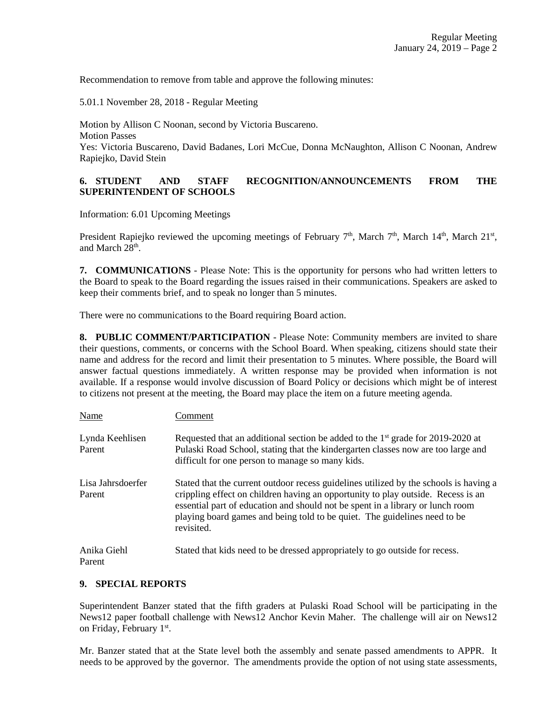Recommendation to remove from table and approve the following minutes:

5.01.1 November 28, 2018 - Regular Meeting

Motion by Allison C Noonan, second by Victoria Buscareno. Motion Passes Yes: Victoria Buscareno, David Badanes, Lori McCue, Donna McNaughton, Allison C Noonan, Andrew Rapiejko, David Stein

## **6. STUDENT AND STAFF RECOGNITION/ANNOUNCEMENTS FROM THE SUPERINTENDENT OF SCHOOLS**

Information: 6.01 Upcoming Meetings

President Rapiejko reviewed the upcoming meetings of February  $7<sup>th</sup>$ , March  $7<sup>th</sup>$ , March  $14<sup>th</sup>$ , March  $21<sup>st</sup>$ , and March 28<sup>th</sup>.

**7. COMMUNICATIONS** - Please Note: This is the opportunity for persons who had written letters to the Board to speak to the Board regarding the issues raised in their communications. Speakers are asked to keep their comments brief, and to speak no longer than 5 minutes.

There were no communications to the Board requiring Board action.

**8. PUBLIC COMMENT/PARTICIPATION** - Please Note: Community members are invited to share their questions, comments, or concerns with the School Board. When speaking, citizens should state their name and address for the record and limit their presentation to 5 minutes. Where possible, the Board will answer factual questions immediately. A written response may be provided when information is not available. If a response would involve discussion of Board Policy or decisions which might be of interest to citizens not present at the meeting, the Board may place the item on a future meeting agenda.

| Name                        | Comment                                                                                                                                                                                                                                                                                                                                                |
|-----------------------------|--------------------------------------------------------------------------------------------------------------------------------------------------------------------------------------------------------------------------------------------------------------------------------------------------------------------------------------------------------|
| Lynda Keehlisen<br>Parent   | Requested that an additional section be added to the 1 <sup>st</sup> grade for 2019-2020 at<br>Pulaski Road School, stating that the kindergarten classes now are too large and<br>difficult for one person to manage so many kids.                                                                                                                    |
| Lisa Jahrsdoerfer<br>Parent | Stated that the current outdoor recess guidelines utilized by the schools is having a<br>crippling effect on children having an opportunity to play outside. Recess is an<br>essential part of education and should not be spent in a library or lunch room<br>playing board games and being told to be quiet. The guidelines need to be<br>revisited. |
| Anika Giehl<br>Parent       | Stated that kids need to be dressed appropriately to go outside for recess.                                                                                                                                                                                                                                                                            |

## **9. SPECIAL REPORTS**

Superintendent Banzer stated that the fifth graders at Pulaski Road School will be participating in the News12 paper football challenge with News12 Anchor Kevin Maher. The challenge will air on News12 on Friday, February 1<sup>st</sup>.

Mr. Banzer stated that at the State level both the assembly and senate passed amendments to APPR. It needs to be approved by the governor. The amendments provide the option of not using state assessments,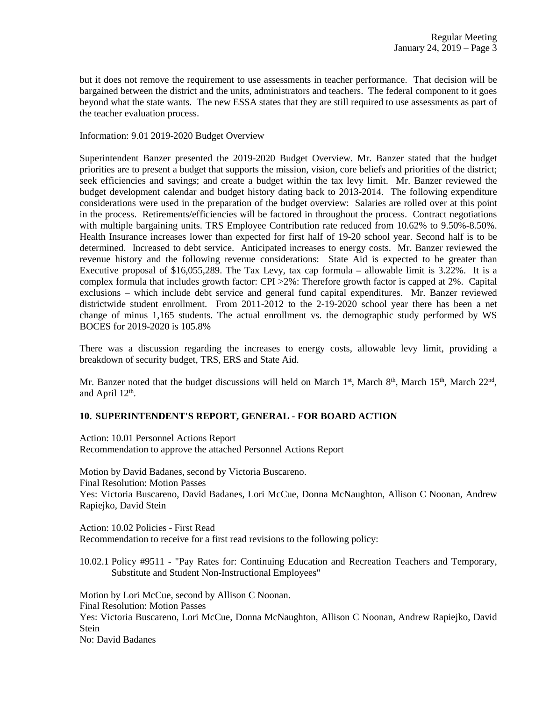but it does not remove the requirement to use assessments in teacher performance. That decision will be bargained between the district and the units, administrators and teachers. The federal component to it goes beyond what the state wants. The new ESSA states that they are still required to use assessments as part of the teacher evaluation process.

Information: 9.01 2019-2020 Budget Overview

Superintendent Banzer presented the 2019-2020 Budget Overview. Mr. Banzer stated that the budget priorities are to present a budget that supports the mission, vision, core beliefs and priorities of the district; seek efficiencies and savings; and create a budget within the tax levy limit. Mr. Banzer reviewed the budget development calendar and budget history dating back to 2013-2014. The following expenditure considerations were used in the preparation of the budget overview: Salaries are rolled over at this point in the process. Retirements/efficiencies will be factored in throughout the process. Contract negotiations with multiple bargaining units. TRS Employee Contribution rate reduced from 10.62% to 9.50%-8.50%. Health Insurance increases lower than expected for first half of 19-20 school year. Second half is to be determined. Increased to debt service. Anticipated increases to energy costs. Mr. Banzer reviewed the revenue history and the following revenue considerations: State Aid is expected to be greater than Executive proposal of \$16,055,289. The Tax Levy, tax cap formula – allowable limit is 3.22%. It is a complex formula that includes growth factor: CPI >2%: Therefore growth factor is capped at 2%. Capital exclusions – which include debt service and general fund capital expenditures. Mr. Banzer reviewed districtwide student enrollment. From 2011-2012 to the 2-19-2020 school year there has been a net change of minus 1,165 students. The actual enrollment vs. the demographic study performed by WS BOCES for 2019-2020 is 105.8%

There was a discussion regarding the increases to energy costs, allowable levy limit, providing a breakdown of security budget, TRS, ERS and State Aid.

Mr. Banzer noted that the budget discussions will held on March 1<sup>st</sup>, March 8<sup>th</sup>, March 15<sup>th</sup>, March 22<sup>nd</sup>, and April  $12<sup>th</sup>$ .

# **10. SUPERINTENDENT'S REPORT, GENERAL - FOR BOARD ACTION**

Action: 10.01 Personnel Actions Report Recommendation to approve the attached Personnel Actions Report

Motion by David Badanes, second by Victoria Buscareno. Final Resolution: Motion Passes Yes: Victoria Buscareno, David Badanes, Lori McCue, Donna McNaughton, Allison C Noonan, Andrew Rapiejko, David Stein

Action: 10.02 Policies - First Read Recommendation to receive for a first read revisions to the following policy:

10.02.1 Policy #9511 - "Pay Rates for: Continuing Education and Recreation Teachers and Temporary, Substitute and Student Non-Instructional Employees"

Motion by Lori McCue, second by Allison C Noonan. Final Resolution: Motion Passes Yes: Victoria Buscareno, Lori McCue, Donna McNaughton, Allison C Noonan, Andrew Rapiejko, David Stein No: David Badanes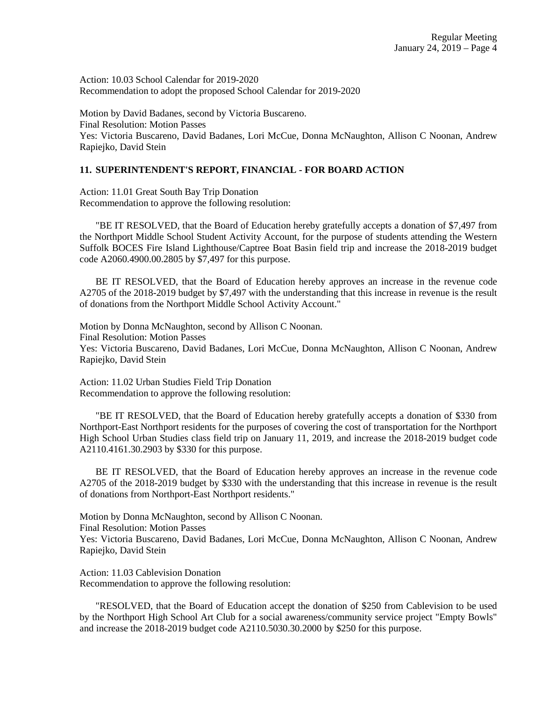Action: 10.03 School Calendar for 2019-2020 Recommendation to adopt the proposed School Calendar for 2019-2020

Motion by David Badanes, second by Victoria Buscareno. Final Resolution: Motion Passes Yes: Victoria Buscareno, David Badanes, Lori McCue, Donna McNaughton, Allison C Noonan, Andrew Rapiejko, David Stein

## **11. SUPERINTENDENT'S REPORT, FINANCIAL - FOR BOARD ACTION**

Action: 11.01 Great South Bay Trip Donation Recommendation to approve the following resolution:

 "BE IT RESOLVED, that the Board of Education hereby gratefully accepts a donation of \$7,497 from the Northport Middle School Student Activity Account, for the purpose of students attending the Western Suffolk BOCES Fire Island Lighthouse/Captree Boat Basin field trip and increase the 2018-2019 budget code A2060.4900.00.2805 by \$7,497 for this purpose.

 BE IT RESOLVED, that the Board of Education hereby approves an increase in the revenue code A2705 of the 2018-2019 budget by \$7,497 with the understanding that this increase in revenue is the result of donations from the Northport Middle School Activity Account."

Motion by Donna McNaughton, second by Allison C Noonan. Final Resolution: Motion Passes Yes: Victoria Buscareno, David Badanes, Lori McCue, Donna McNaughton, Allison C Noonan, Andrew Rapiejko, David Stein

Action: 11.02 Urban Studies Field Trip Donation Recommendation to approve the following resolution:

 "BE IT RESOLVED, that the Board of Education hereby gratefully accepts a donation of \$330 from Northport-East Northport residents for the purposes of covering the cost of transportation for the Northport High School Urban Studies class field trip on January 11, 2019, and increase the 2018-2019 budget code A2110.4161.30.2903 by \$330 for this purpose.

 BE IT RESOLVED, that the Board of Education hereby approves an increase in the revenue code A2705 of the 2018-2019 budget by \$330 with the understanding that this increase in revenue is the result of donations from Northport-East Northport residents."

Motion by Donna McNaughton, second by Allison C Noonan. Final Resolution: Motion Passes Yes: Victoria Buscareno, David Badanes, Lori McCue, Donna McNaughton, Allison C Noonan, Andrew Rapiejko, David Stein

Action: 11.03 Cablevision Donation Recommendation to approve the following resolution:

 "RESOLVED, that the Board of Education accept the donation of \$250 from Cablevision to be used by the Northport High School Art Club for a social awareness/community service project "Empty Bowls" and increase the 2018-2019 budget code A2110.5030.30.2000 by \$250 for this purpose.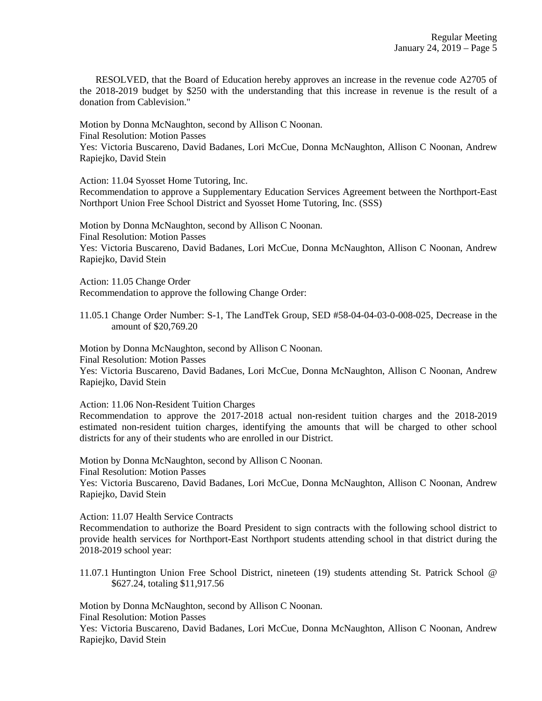RESOLVED, that the Board of Education hereby approves an increase in the revenue code A2705 of the 2018-2019 budget by \$250 with the understanding that this increase in revenue is the result of a donation from Cablevision."

Motion by Donna McNaughton, second by Allison C Noonan. Final Resolution: Motion Passes Yes: Victoria Buscareno, David Badanes, Lori McCue, Donna McNaughton, Allison C Noonan, Andrew Rapiejko, David Stein

Action: 11.04 Syosset Home Tutoring, Inc.

Recommendation to approve a Supplementary Education Services Agreement between the Northport-East Northport Union Free School District and Syosset Home Tutoring, Inc. (SSS)

Motion by Donna McNaughton, second by Allison C Noonan. Final Resolution: Motion Passes Yes: Victoria Buscareno, David Badanes, Lori McCue, Donna McNaughton, Allison C Noonan, Andrew Rapiejko, David Stein

Action: 11.05 Change Order Recommendation to approve the following Change Order:

11.05.1 Change Order Number: S-1, The LandTek Group, SED #58-04-04-03-0-008-025, Decrease in the amount of \$20,769.20

Motion by Donna McNaughton, second by Allison C Noonan. Final Resolution: Motion Passes Yes: Victoria Buscareno, David Badanes, Lori McCue, Donna McNaughton, Allison C Noonan, Andrew Rapiejko, David Stein

Action: 11.06 Non-Resident Tuition Charges

Recommendation to approve the 2017-2018 actual non-resident tuition charges and the 2018-2019 estimated non-resident tuition charges, identifying the amounts that will be charged to other school districts for any of their students who are enrolled in our District.

Motion by Donna McNaughton, second by Allison C Noonan. Final Resolution: Motion Passes Yes: Victoria Buscareno, David Badanes, Lori McCue, Donna McNaughton, Allison C Noonan, Andrew Rapiejko, David Stein

Action: 11.07 Health Service Contracts

Recommendation to authorize the Board President to sign contracts with the following school district to provide health services for Northport-East Northport students attending school in that district during the 2018-2019 school year:

11.07.1 Huntington Union Free School District, nineteen (19) students attending St. Patrick School @ \$627.24, totaling \$11,917.56

Motion by Donna McNaughton, second by Allison C Noonan.

Final Resolution: Motion Passes

Yes: Victoria Buscareno, David Badanes, Lori McCue, Donna McNaughton, Allison C Noonan, Andrew Rapiejko, David Stein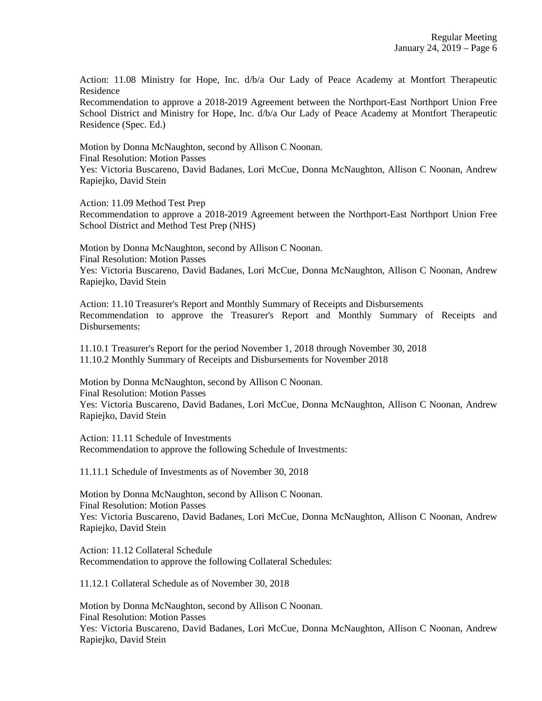Action: 11.08 Ministry for Hope, Inc. d/b/a Our Lady of Peace Academy at Montfort Therapeutic Residence

Recommendation to approve a 2018-2019 Agreement between the Northport-East Northport Union Free School District and Ministry for Hope, Inc.  $d/b/a$  Our Lady of Peace Academy at Montfort Therapeutic Residence (Spec. Ed.)

Motion by Donna McNaughton, second by Allison C Noonan.

Final Resolution: Motion Passes

Yes: Victoria Buscareno, David Badanes, Lori McCue, Donna McNaughton, Allison C Noonan, Andrew Rapiejko, David Stein

Action: 11.09 Method Test Prep

Recommendation to approve a 2018-2019 Agreement between the Northport-East Northport Union Free School District and Method Test Prep (NHS)

Motion by Donna McNaughton, second by Allison C Noonan. Final Resolution: Motion Passes Yes: Victoria Buscareno, David Badanes, Lori McCue, Donna McNaughton, Allison C Noonan, Andrew Rapiejko, David Stein

Action: 11.10 Treasurer's Report and Monthly Summary of Receipts and Disbursements Recommendation to approve the Treasurer's Report and Monthly Summary of Receipts and Disbursements:

11.10.1 Treasurer's Report for the period November 1, 2018 through November 30, 2018 11.10.2 Monthly Summary of Receipts and Disbursements for November 2018

Motion by Donna McNaughton, second by Allison C Noonan. Final Resolution: Motion Passes Yes: Victoria Buscareno, David Badanes, Lori McCue, Donna McNaughton, Allison C Noonan, Andrew Rapiejko, David Stein

Action: 11.11 Schedule of Investments Recommendation to approve the following Schedule of Investments:

11.11.1 Schedule of Investments as of November 30, 2018

Motion by Donna McNaughton, second by Allison C Noonan. Final Resolution: Motion Passes Yes: Victoria Buscareno, David Badanes, Lori McCue, Donna McNaughton, Allison C Noonan, Andrew Rapiejko, David Stein

Action: 11.12 Collateral Schedule Recommendation to approve the following Collateral Schedules:

11.12.1 Collateral Schedule as of November 30, 2018

Motion by Donna McNaughton, second by Allison C Noonan. Final Resolution: Motion Passes Yes: Victoria Buscareno, David Badanes, Lori McCue, Donna McNaughton, Allison C Noonan, Andrew Rapiejko, David Stein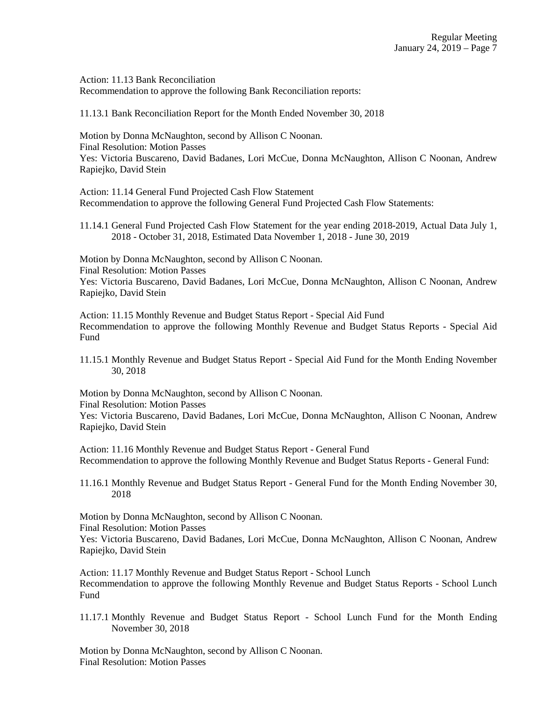Action: 11.13 Bank Reconciliation Recommendation to approve the following Bank Reconciliation reports:

11.13.1 Bank Reconciliation Report for the Month Ended November 30, 2018

Motion by Donna McNaughton, second by Allison C Noonan. Final Resolution: Motion Passes Yes: Victoria Buscareno, David Badanes, Lori McCue, Donna McNaughton, Allison C Noonan, Andrew Rapiejko, David Stein

Action: 11.14 General Fund Projected Cash Flow Statement Recommendation to approve the following General Fund Projected Cash Flow Statements:

11.14.1 General Fund Projected Cash Flow Statement for the year ending 2018-2019, Actual Data July 1, 2018 - October 31, 2018, Estimated Data November 1, 2018 - June 30, 2019

Motion by Donna McNaughton, second by Allison C Noonan. Final Resolution: Motion Passes Yes: Victoria Buscareno, David Badanes, Lori McCue, Donna McNaughton, Allison C Noonan, Andrew

Rapiejko, David Stein

Action: 11.15 Monthly Revenue and Budget Status Report - Special Aid Fund Recommendation to approve the following Monthly Revenue and Budget Status Reports - Special Aid Fund

11.15.1 Monthly Revenue and Budget Status Report - Special Aid Fund for the Month Ending November 30, 2018

Motion by Donna McNaughton, second by Allison C Noonan. Final Resolution: Motion Passes Yes: Victoria Buscareno, David Badanes, Lori McCue, Donna McNaughton, Allison C Noonan, Andrew Rapiejko, David Stein

Action: 11.16 Monthly Revenue and Budget Status Report - General Fund Recommendation to approve the following Monthly Revenue and Budget Status Reports - General Fund:

11.16.1 Monthly Revenue and Budget Status Report - General Fund for the Month Ending November 30, 2018

Motion by Donna McNaughton, second by Allison C Noonan.

Final Resolution: Motion Passes

Yes: Victoria Buscareno, David Badanes, Lori McCue, Donna McNaughton, Allison C Noonan, Andrew Rapiejko, David Stein

Action: 11.17 Monthly Revenue and Budget Status Report - School Lunch Recommendation to approve the following Monthly Revenue and Budget Status Reports - School Lunch Fund

11.17.1 Monthly Revenue and Budget Status Report - School Lunch Fund for the Month Ending November 30, 2018

Motion by Donna McNaughton, second by Allison C Noonan. Final Resolution: Motion Passes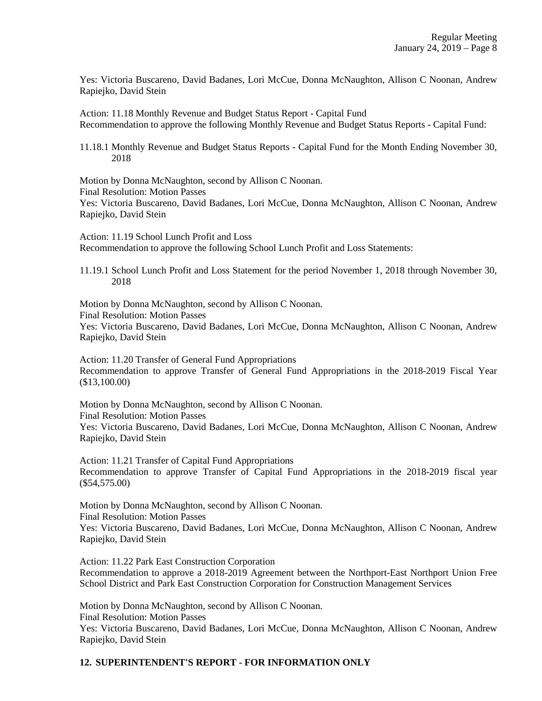Yes: Victoria Buscareno, David Badanes, Lori McCue, Donna McNaughton, Allison C Noonan, Andrew Rapiejko, David Stein

Action: 11.18 Monthly Revenue and Budget Status Report - Capital Fund Recommendation to approve the following Monthly Revenue and Budget Status Reports - Capital Fund:

11.18.1 Monthly Revenue and Budget Status Reports - Capital Fund for the Month Ending November 30, 2018

Motion by Donna McNaughton, second by Allison C Noonan. Final Resolution: Motion Passes Yes: Victoria Buscareno, David Badanes, Lori McCue, Donna McNaughton, Allison C Noonan, Andrew Rapiejko, David Stein

Action: 11.19 School Lunch Profit and Loss Recommendation to approve the following School Lunch Profit and Loss Statements:

11.19.1 School Lunch Profit and Loss Statement for the period November 1, 2018 through November 30, 2018

Motion by Donna McNaughton, second by Allison C Noonan. Final Resolution: Motion Passes Yes: Victoria Buscareno, David Badanes, Lori McCue, Donna McNaughton, Allison C Noonan, Andrew Rapiejko, David Stein

Action: 11.20 Transfer of General Fund Appropriations Recommendation to approve Transfer of General Fund Appropriations in the 2018-2019 Fiscal Year (\$13,100.00)

Motion by Donna McNaughton, second by Allison C Noonan. Final Resolution: Motion Passes Yes: Victoria Buscareno, David Badanes, Lori McCue, Donna McNaughton, Allison C Noonan, Andrew Rapiejko, David Stein

Action: 11.21 Transfer of Capital Fund Appropriations Recommendation to approve Transfer of Capital Fund Appropriations in the 2018-2019 fiscal year (\$54,575.00)

Motion by Donna McNaughton, second by Allison C Noonan. Final Resolution: Motion Passes Yes: Victoria Buscareno, David Badanes, Lori McCue, Donna McNaughton, Allison C Noonan, Andrew Rapiejko, David Stein

Action: 11.22 Park East Construction Corporation Recommendation to approve a 2018-2019 Agreement between the Northport-East Northport Union Free School District and Park East Construction Corporation for Construction Management Services

Motion by Donna McNaughton, second by Allison C Noonan. Final Resolution: Motion Passes Yes: Victoria Buscareno, David Badanes, Lori McCue, Donna McNaughton, Allison C Noonan, Andrew Rapiejko, David Stein

# **12. SUPERINTENDENT'S REPORT - FOR INFORMATION ONLY**